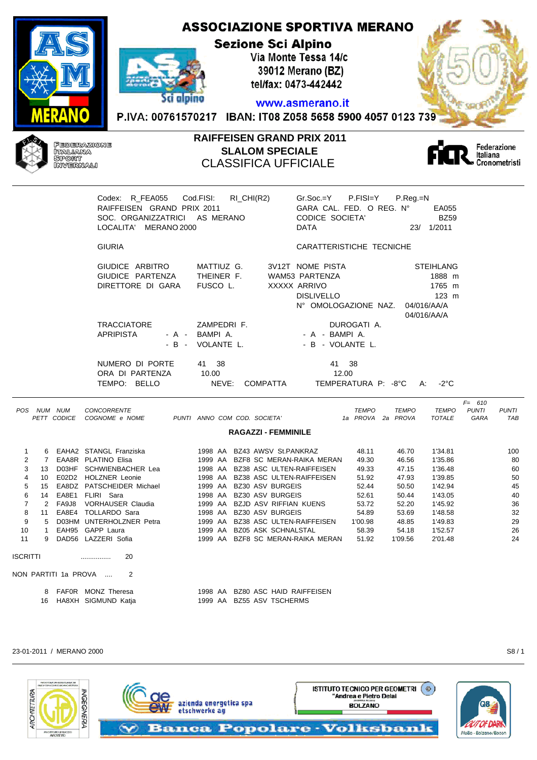#### **ASSOCIAZIONE SPORTIVA MERANO Sezione Sci Alpino** Via Monte Tessa 14/c 39012 Merano (BZ) tel/fax: 0473-442442 Sci alpino www.asmerano.it P.IVA: 00761570217 IBAN: IT08 Z058 5658 5900 4057 0123 739



r

# **RAIFFEISEN GRAND PRIX 2011 SLALOM SPECIALE** CLASSIFICA UFFICIALE



| Codex: R_FEA055 Cod.FISI:   | RI_CHI(R2)                    | $Gr.Soc.=Y$ P.FISI=Y P.Reg.=N   |                  |
|-----------------------------|-------------------------------|---------------------------------|------------------|
| RAIFFEISEN GRAND PRIX 2011  |                               | GARA CAL. FED. O REG. N°        | EA055            |
|                             | SOC. ORGANIZZATRICI AS MERANO | CODICE SOCIETA'                 | <b>BZ59</b>      |
| LOCALITA' MERANO 2000       |                               | <b>DATA</b>                     | 23/ 1/2011       |
| <b>GIURIA</b>               |                               | CARATTERISTICHE TECNICHE        |                  |
| GIUDICE ARBITRO             | MATTIUZ G.                    | 3V12T NOME PISTA                | <b>STEIHLANG</b> |
| GIUDICE PARTENZA THEINER F. |                               | WAM53 PARTENZA                  | 1888 m           |
| DIRETTORE DI GARA           | FUSCO L.                      | XXXXX ARRIVO                    | 1765 m           |
|                             |                               | <b>DISLIVELLO</b>               | $123$ m          |
|                             |                               | N° OMOLOGAZIONE NAZ.            | 04/016/AA/A      |
|                             |                               |                                 | 04/016/AA/A      |
| <b>TRACCIATORE</b>          | ZAMPEDRI F.                   | DUROGATI A.                     |                  |
| <b>APRIPISTA</b>            | - A - BAMPIA.                 | - A - BAMPIA.                   |                  |
|                             | - B - VOLANTE L.              | - B - VOLANTE L.                |                  |
| NUMERO DI PORTE             | 41 38                         | 41 38                           |                  |
| ORA DI PARTENZA             | 10.00                         | 12.00                           |                  |
| TEMPO: BELLO                | NEVE:                         | COMPATTA TEMPERATURA P: -8°C A: | -2°C             |
|                             |                               |                                 | $F = 610$        |

| <b>POS</b> |               | NUM NUM     | <b>CONCORRENTE</b>        |         |  |                                   | <b>TEMPO</b>      | TEMPO   | <b>TEMPO</b>  | <b>PUNTI</b> | <b>PUNTI</b> |
|------------|---------------|-------------|---------------------------|---------|--|-----------------------------------|-------------------|---------|---------------|--------------|--------------|
|            |               | PETT CODICE | COGNOME e NOME            |         |  | PUNTI ANNO COM COD. SOCIETA'      | 1a PROVA 2a PROVA |         | <b>TOTALE</b> | GARA         | TAB          |
|            |               |             |                           |         |  | <b>RAGAZZI - FEMMINILE</b>        |                   |         |               |              |              |
|            |               |             |                           |         |  |                                   |                   |         |               |              |              |
|            | 6             |             | EAHA2 STANGL Franziska    |         |  | 1998 AA BZ43 AWSV St.PANKRAZ      | 48.11             | 46.70   | 1'34.81       |              | 100          |
| 2          |               |             | EAA8R PLATINO Elisa       |         |  | 1999 AA BZF8 SC MERAN-RAIKA MERAN | 49.30             | 46.56   | 1'35.86       |              | 80           |
| 3          | 13            | D03HF       | SCHWIENBACHER Lea         |         |  | 1998 AA BZ38 ASC ULTEN-RAIFFEISEN | 49.33             | 47.15   | 1'36.48       |              | 60           |
| 4          | 10            | E02D2       | <b>HOLZNER Leonie</b>     |         |  | 1998 AA BZ38 ASC ULTEN-RAIFFEISEN | 51.92             | 47.93   | 1'39.85       |              | 50           |
| 5          | 15            |             | EA8DZ PATSCHEIDER Michael |         |  | 1999 AA BZ30 ASV BURGEIS          | 52.44             | 50.50   | 1'42.94       |              | 45           |
| 6          | 14            | EA8E1       | FLIRI Sara                | 1998 AA |  | BZ30 ASV BURGEIS                  | 52.61             | 50.44   | 1'43.05       |              | 40           |
| 7          | $\mathcal{P}$ | FA9J8       | <b>VORHAUSER Claudia</b>  |         |  | 1999 AA BZJD ASV RIFFIAN KUENS    | 53.72             | 52.20   | 1'45.92       |              | 36           |
| 8          | 11            | EA8E4       | TOLLARDO Sara             | 1998 AA |  | BZ30 ASV BURGEIS                  | 54.89             | 53.69   | 1'48.58       |              | 32           |
| 9          | 5             |             | D03HM UNTERHOLZNER Petra  |         |  | 1999 AA BZ38 ASC ULTEN-RAIFFEISEN | 1'00.98           | 48.85   | 1'49.83       |              | 29           |
| 10         |               |             | EAH95 GAPP Laura          | 1999 AA |  | BZ05 ASK SCHNALSTAL               | 58.39             | 54.18   | 1'52.57       |              | 26           |
| 11         |               |             | 9 DAD56 LAZZERI Sofia     | 1999 AA |  | BZF8 SC MERAN-RAIKA MERAN         | 51.92             | 1'09.56 | 2'01.48       |              | 24           |
| ISCRITTI   |               |             | 20<br>.                   |         |  |                                   |                   |         |               |              |              |
|            |               |             | NON PARTITI 1a PROVA<br>2 |         |  |                                   |                   |         |               |              |              |
|            | 8             |             | FAFOR MONZ Theresa        |         |  | 1998 AA BZ80 ASC HAID RAIFFEISEN  |                   |         |               |              |              |
|            | 16            |             | HA8XH SIGMUND Katja       |         |  | 1999 AA BZ55 ASV TSCHERMS         |                   |         |               |              |              |
|            |               |             |                           |         |  |                                   |                   |         |               |              |              |

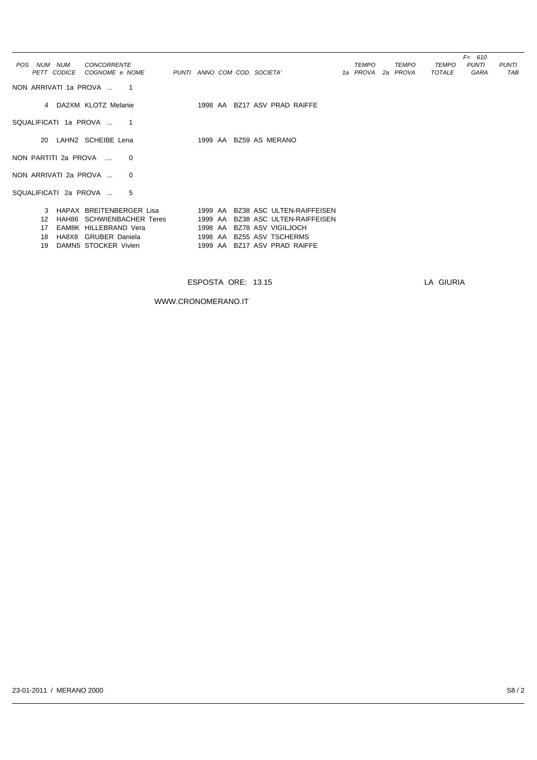| POS NUM NUM           | <b>CONCORRENTE</b>         |                              |  |                                                              | <b>TEMPO</b>      | <b>TEMPO</b> | <b>TEMPO</b>  | $F = 610$<br><b>PUNTI</b> | <b>PUNTI</b> |
|-----------------------|----------------------------|------------------------------|--|--------------------------------------------------------------|-------------------|--------------|---------------|---------------------------|--------------|
|                       | PETT CODICE COGNOME e NOME | PUNTI ANNO COM COD. SOCIETA' |  |                                                              | 1a PROVA 2a PROVA |              | <b>TOTALE</b> | GARA                      | TAB          |
| NON ARRIVATI 1a PROVA | $\overline{\phantom{1}}$   |                              |  |                                                              |                   |              |               |                           |              |
|                       | 4 DA2XM KLOTZ Melanie      |                              |  | 1998 AA BZ17 ASV PRAD RAIFFE                                 |                   |              |               |                           |              |
| SQUALIFICATI 1a PROVA | $\overline{\phantom{1}}$   |                              |  |                                                              |                   |              |               |                           |              |
|                       | 20 LAHN2 SCHEIBE Lena      |                              |  | 1999 AA BZ59 AS MERANO                                       |                   |              |               |                           |              |
| NON PARTITI 2a PROVA  | $\Omega$                   |                              |  |                                                              |                   |              |               |                           |              |
| NON ARRIVATI 2a PROVA | $\Omega$                   |                              |  |                                                              |                   |              |               |                           |              |
| SQUALIFICATI 2a PROVA | 5                          |                              |  |                                                              |                   |              |               |                           |              |
|                       |                            |                              |  | 3 HAPAX BREITENBERGER Lisa 1999 AA BZ38 ASC ULTEN-RAIFFEISEN |                   |              |               |                           |              |
| $12 \overline{ }$     | HAH86 SCHWIENBACHER Teres  |                              |  | 1999 AA BZ38 ASC ULTEN-RAIFFEISEN                            |                   |              |               |                           |              |
| 17                    | EAM8K HILLEBRAND Vera      |                              |  | 1998 AA BZ78 ASV VIGILJOCH                                   |                   |              |               |                           |              |
| 18                    | HA8X8 GRUBER Daniela       |                              |  | 1998 AA BZ55 ASV TSCHERMS                                    |                   |              |               |                           |              |
| 19                    | DAMN5 STOCKER Vivien       |                              |  | 1999 AA BZ17 ASV PRAD RAIFFE                                 |                   |              |               |                           |              |
|                       |                            |                              |  |                                                              |                   |              |               |                           |              |

WWW.CRONOMERANO.IT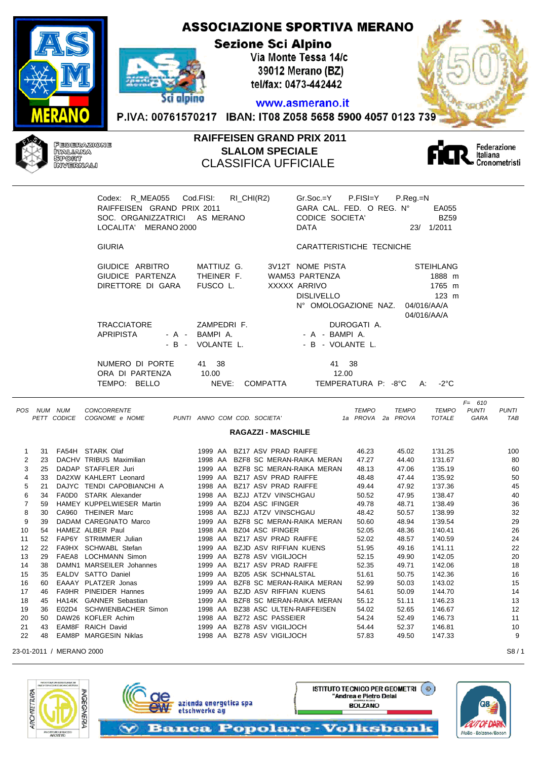### **ASSOCIAZIONE SPORTIVA MERANO Sezione Sci Alpino** Via Monte Tessa 14/c 39012 Merano (BZ) tel/fax: 0473-442442 Sci alpino

### www.asmerano.it

P.IVA: 00761570217 IBAN: IT08 Z058 5658 5900 4057 0123 739



### **RAIFFEISEN GRAND PRIX 2011 SLALOM SPECIALE** CLASSIFICA UFFICIALE



|   |    |                            | RAIFFEISEN GRAND PRIX 2011<br>SOC. ORGANIZZATRICI AS MERANO<br>LOCALITA' MERANO 2000 | Codex: R_MEA055 Cod.FISI: RI_CHI(R2)                      | $Gr.Soc.=Y$ P.FISI=Y P.Reg.=N<br>GARA CAL. FED. O REG. N°<br><b>CODICE SOCIETA'</b><br>DATA     | EA055<br><b>BZ59</b><br>23/ 1/2011                                                    |                                                          |
|---|----|----------------------------|--------------------------------------------------------------------------------------|-----------------------------------------------------------|-------------------------------------------------------------------------------------------------|---------------------------------------------------------------------------------------|----------------------------------------------------------|
|   |    |                            | <b>GIURIA</b>                                                                        |                                                           | CARATTERISTICHE TECNICHE                                                                        |                                                                                       |                                                          |
|   |    |                            | GIUDICE ARBITRO<br>GIUDICE PARTENZA<br>DIRETTORE DI GARA                             | MATTIUZ G.<br>THEINER F.<br>FUSCO L.                      | 3V12T NOME PISTA<br>WAM53 PARTENZA<br>XXXXX ARRIVO<br><b>DISLIVELLO</b><br>N° OMOLOGAZIONE NAZ. | <b>STEIHLANG</b><br>1888 m<br>1765 m<br>$123 \text{ m}$<br>04/016/AA/A<br>04/016/AA/A |                                                          |
|   |    |                            | <b>TRACCIATORE</b><br>APRIPISTA                                                      | ZAMPEDRI F.<br>- A - BAMPIA.<br>- B - VOLANTE L.          | DUROGATI A.<br>- A - BAMPIA.<br>- B - VOLANTE L.                                                |                                                                                       |                                                          |
|   |    |                            | NUMERO DI PORTE<br>ORA DI PARTENZA<br>TEMPO: BELLO                                   | 41 38<br>10.00<br>NEVE: COMPATTA                          | 41 38<br>12.00<br>TEMPERATURA P: -8°C A: -2°C                                                   |                                                                                       |                                                          |
|   |    | POS NUM NUM<br>PETT CODICE | <b>CONCORRENTE</b><br>COGNOME e NOME                                                 | PUNTI ANNO COM COD. SOCIETA'<br><b>RAGAZZI - MASCHILE</b> | <b>TEMPO</b><br>1a PROVA 2a PROVA                                                               | TEMPO<br><b>TEMPO</b><br><b>TOTALE</b>                                                | $F = 610$<br><b>PUNTI</b><br><b>PUNTI</b><br>GARA<br>TAB |
|   |    |                            |                                                                                      |                                                           |                                                                                                 |                                                                                       |                                                          |
| 1 | 31 |                            | FA54H STARK Olaf                                                                     | 1999 AA BZ17 ASV PRAD RAIFFE                              | 46.23                                                                                           | 1'31.25<br>45.02                                                                      | 100                                                      |
| 2 | 23 |                            | DACHV TRIBUS Maximilian                                                              | 1998 AA BZF8 SC MERAN-RAIKA MERAN                         | 47.27                                                                                           | 1'31.67<br>44.40                                                                      | 80                                                       |
| 3 | 25 |                            | DADAP STAFFLER Juri                                                                  | 1999 AA BZF8 SC MERAN-RAIKA MERAN                         | 48.13                                                                                           | 47.06<br>1'35.19                                                                      | 60                                                       |
| 4 | 33 |                            | DA2XW KAHLERT Leonard                                                                | 1999 AA BZ17 ASV PRAD RAIFFE                              | 48.48                                                                                           | 1'35.92<br>47.44                                                                      | 50                                                       |
| 5 | 21 |                            | DAJYC TENDI CAPOBIANCHI A                                                            | 1998 AA BZ17 ASV PRAD RAIFFE                              | 49.44                                                                                           | 1'37.36<br>47.92                                                                      | 45                                                       |

6 34 FA0D0 STARK Alexander 1998 AA BZJJ ATZV VINSCHGAU 50.52 47.95 1'38.47 40 7 59 HAMEY KUPPELWIESER Martin 1999 AA BZ04 ASC IFINGER 49.78 48.71 1'38.49 36

9 39 DADAM CAREGNATO Marco 1999 AA BZF8 SC MERAN-RAIKA MERAN 50.60 48.94 1'39.54 29

11 52 FAP6Y STRIMMER Julian 1998 AA BZ17 ASV PRAD RAIFFE 52.02 148.57 1'40.59 1999 24<br>12 22 FA9HX SCHWABL Stefan 1999 AA BZJD ASV RIFFIAN KUENS 51.95 199.16 1'41.11

13 29 FAEA8 LOCHMANN Simon 1999 AA BZ78 ASV VIGILJOCH 52.15 49.90 1'42.05 20 14 38 DAMN1 MARSEILER Johannes 1999 AA BZ17 ASV PRAD RAIFFE 52.35 49.71 1'42.06 18 15 35 EALDV SATTO Daniel 1999 AA BZ05 ASK SCHNALSTAL 51.61 50.75 1'42.36 16 16 60 EAAAY PLATZER Jonas 1999 AA BZF8 SC MERAN-RAIKA MERAN 52.99 50.03 1'43.02 15 17 46 FA9HR PINEIDER Hannes 1999 AA BZJD ASV RIFFIAN KUENS 54.61 50.09 1'44.70 14 18 45 HA14K GANNER Sebastian 1999 AA BZF8 SC MERAN-RAIKA MERAN 55.12 51.11 1'46.23 13 19 36 E02D4 SCHWIENBACHER Simon 1998 AA BZ38 ASC ULTEN-RAIFFEISEN 54.02 52.65 1'46.67 12 20 50 DAW26 KOFLER Achim 1998 AA BZ72 ASC PASSEIER 54.24 52.49 1'46.73 11 21 43 EAM8F RAICH David 1999 AA BZ78 ASV VIGILJOCH 54.44 52.37 1'46.81 10 22 48 EAM8P MARGESIN Niklas 1998 AA BZ78 ASV VIGILJOCH 57.83 49.50 1'47.33 9

8 30 CA960 THEINER Marc 1998 AA BZJJ ATZV VINSCHGAU 48.42 50.57 1'38.99

10 54 HAMEZ ALBER Paul 1998 AA BZ04 ASC IFINGER 52.05 48.36 1'40.41 26

12 22 FA9HX SCHWABL Stefan 1999 AA BZJD ASV RIFFIAN KUENS



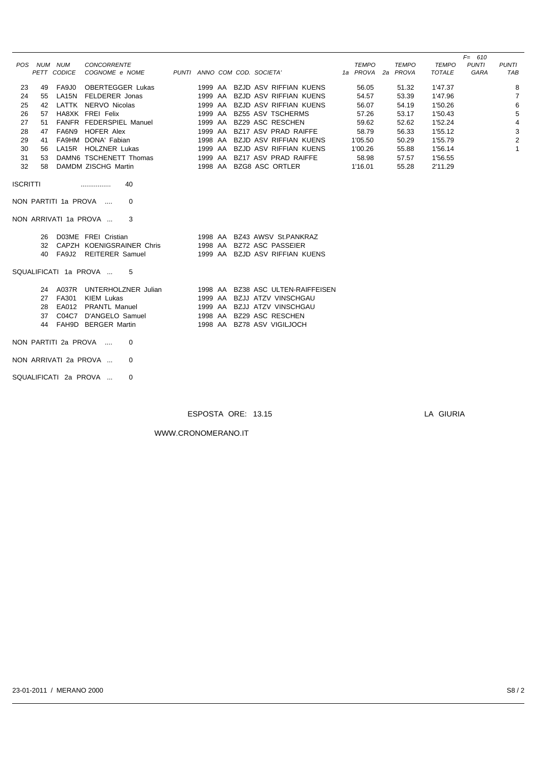|                 |             |             |                                   |                              |                                                        |                   |              |               | $F = 610$    |                |
|-----------------|-------------|-------------|-----------------------------------|------------------------------|--------------------------------------------------------|-------------------|--------------|---------------|--------------|----------------|
|                 | POS NUM NUM |             | <b>CONCORRENTE</b>                |                              |                                                        | <b>TEMPO</b>      | <b>TEMPO</b> | TEMPO         | <b>PUNTI</b> | <b>PUNTI</b>   |
|                 |             | PETT CODICE | COGNOME e NOME                    | PUNTI ANNO COM COD. SOCIETA' |                                                        | 1a PROVA 2a PROVA |              | <b>TOTALE</b> | GARA         | TAB            |
| 23              | 49          | FA9J0       | <b>OBERTEGGER Lukas</b>           |                              | 1999 AA BZJD ASV RIFFIAN KUENS                         | 56.05             | 51.32        | 1'47.37       |              | 8              |
|                 | 55          |             | LA15N FELDERER Jonas              |                              | 1999 AA BZJD ASV RIFFIAN KUENS                         |                   |              |               |              |                |
| 24              |             |             |                                   |                              |                                                        | 54.57             | 53.39        | 1'47.96       |              | 7              |
| 25              |             |             | 42 LATTK NERVO Nicolas            |                              | 1999 AA BZJD ASV RIFFIAN KUENS                         | 56.07             | 54.19        | 1'50.26       |              | 6              |
| 26              |             |             | 57 HA8XK FREI Felix               |                              | 1999 AA BZ55 ASV TSCHERMS                              | 57.26             | 53.17        | 1'50.43       |              | 5              |
| 27              | 51          |             | FANFR FEDERSPIEL Manuel           |                              | 1999 AA BZ29 ASC RESCHEN                               | 59.62             | 52.62        | 1'52.24       |              | 4              |
| 28              |             |             | 47 FA6N9 HOFER Alex               |                              | 1999 AA BZ17 ASV PRAD RAIFFE                           | 58.79             | 56.33        | 1'55.12       |              | 3              |
| 29              | 41          |             | FA9HM DONA' Fabian                |                              | 1998 AA BZJD ASV RIFFIAN KUENS                         | 1'05.50           | 50.29        | 1'55.79       |              | $\overline{2}$ |
| 30              |             |             | 56 LA15R HOLZNER Lukas            |                              | 1999 AA BZJD ASV RIFFIAN KUENS                         | 1'00.26           | 55.88        | 1'56.14       |              | $\mathbf{1}$   |
| 31              | 53          |             | DAMN6 TSCHENETT Thomas            |                              | 1999 AA BZ17 ASV PRAD RAIFFE                           | 58.98             | 57.57        | 1'56.55       |              |                |
| 32              | 58          |             | DAMDM ZISCHG Martin               |                              | 1998 AA BZG8 ASC ORTLER                                | 1'16.01           | 55.28        | 2'11.29       |              |                |
| <b>ISCRITTI</b> |             |             | 40<br>.                           |                              |                                                        |                   |              |               |              |                |
|                 |             |             | NON PARTITI 1a PROVA<br>0         |                              |                                                        |                   |              |               |              |                |
|                 |             |             | NON ARRIVATI 1a PROVA<br>3        |                              |                                                        |                   |              |               |              |                |
|                 |             |             | 26 D03ME FREI Cristian            |                              | 1998 AA BZ43 AWSV St.PANKRAZ                           |                   |              |               |              |                |
|                 |             |             | 32 CAPZH KOENIGSRAINER Chris      |                              | 1998 AA BZ72 ASC PASSEIER                              |                   |              |               |              |                |
|                 |             |             | 40 FA9J2 REITERER Samuel          |                              | 1999 AA BZJD ASV RIFFIAN KUENS                         |                   |              |               |              |                |
|                 |             |             |                                   |                              |                                                        |                   |              |               |              |                |
|                 |             |             | SQUALIFICATI 1a PROVA<br>5        |                              |                                                        |                   |              |               |              |                |
|                 |             |             | 24 A037R UNTERHOLZNER Julian      |                              | 1998 AA BZ38 ASC ULTEN-RAIFFEISEN                      |                   |              |               |              |                |
|                 |             | 27 FA301    | KIEM Lukas                        |                              | 1999 AA BZJJ ATZV VINSCHGAU                            |                   |              |               |              |                |
|                 | 28          |             | EA012 PRANTL Manuel               |                              | 1999 AA BZJJ ATZV VINSCHGAU                            |                   |              |               |              |                |
|                 |             |             |                                   |                              |                                                        |                   |              |               |              |                |
|                 | 37          |             | C04C7 D'ANGELO Samuel             |                              | 1998 AA BZ29 ASC RESCHEN<br>1998 AA BZ78 ASV VIGILJOCH |                   |              |               |              |                |
|                 | 44          |             | FAH9D BERGER Martin               |                              |                                                        |                   |              |               |              |                |
|                 |             |             | NON PARTITI 2a PROVA<br>0         |                              |                                                        |                   |              |               |              |                |
|                 |             |             | NON ARRIVATI 2a PROVA<br>0        |                              |                                                        |                   |              |               |              |                |
|                 |             |             | SQUALIFICATI 2a PROVA<br>$\Omega$ |                              |                                                        |                   |              |               |              |                |

WWW.CRONOMERANO.IT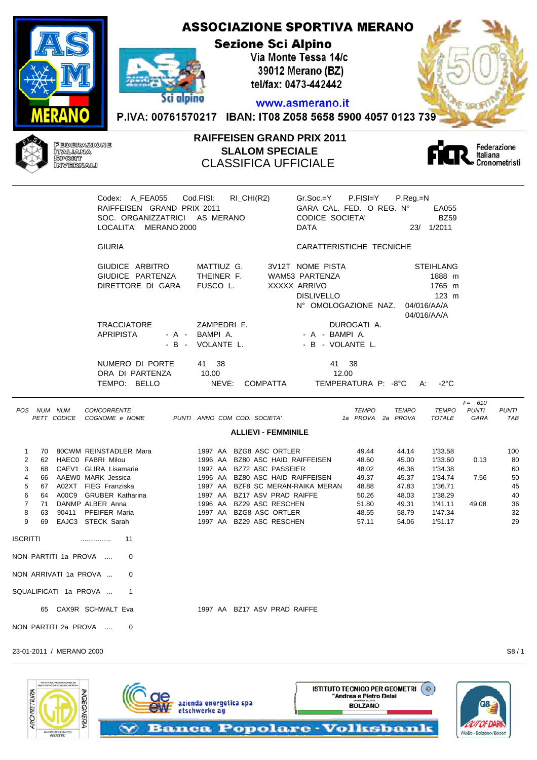#### **ASSOCIAZIONE SPORTIVA MERANO Sezione Sci Alpino** Via Monte Tessa 14/c 39012 Merano (BZ) tel/fax: 0473-442442 Sci alpino www.asmerano.it P.IVA: 00761570217 IBAN: IT08 Z058 5658 5900 4057 0123 739



# **RAIFFEISEN GRAND PRIX 2011 SLALOM SPECIALE** CLASSIFICA UFFICIALE



|             |                |                            | Codex: A_FEA055    Cod.FISI:    RI_CHI(R2)<br>RAIFFEISEN GRAND PRIX 2011<br>SOC. ORGANIZZATRICI AS MERANO<br>LOCALITA' MERANO 2000 |                                                                                          | Gr.Soc.=Y P.FISI=Y P.Reg.=N<br>GARA CAL. FED. O REG. N°<br>CODICE SOCIETA'<br><b>DATA</b>       | EA055<br><b>BZ59</b><br>23/ 1/2011                                            |                                   |                     |
|-------------|----------------|----------------------------|------------------------------------------------------------------------------------------------------------------------------------|------------------------------------------------------------------------------------------|-------------------------------------------------------------------------------------------------|-------------------------------------------------------------------------------|-----------------------------------|---------------------|
|             |                |                            | <b>GIURIA</b>                                                                                                                      |                                                                                          | CARATTERISTICHE TECNICHE                                                                        |                                                                               |                                   |                     |
|             |                |                            | GIUDICE ARBITRO<br>GIUDICE PARTENZA<br>DIRETTORE DI GARA                                                                           | MATTIUZ G.<br>THEINER F.<br>FUSCO L.                                                     | 3V12T NOME PISTA<br>WAM53 PARTENZA<br>XXXXX ARRIVO<br><b>DISLIVELLO</b><br>N° OMOLOGAZIONE NAZ. | <b>STEIHLANG</b><br>1888 m<br>1765 m<br>$123$ m<br>04/016/AA/A<br>04/016/AA/A |                                   |                     |
|             |                |                            | <b>TRACCIATORE</b><br><b>APRIPISTA</b>                                                                                             | ZAMPEDRI F.<br>- A - BAMPIA.<br>- B - VOLANTE L.                                         | DUROGATI A.<br>- A - BAMPIA.<br>- B - VOLANTE L.                                                |                                                                               |                                   |                     |
|             |                |                            | NUMERO DI PORTE<br>ORA DI PARTENZA<br>TEMPO: BELLO                                                                                 | 41 38<br>10.00<br>NEVE:<br>COMPATTA                                                      | 41 38<br>12.00<br>TEMPERATURA P: -8°C A:                                                        | -2°C                                                                          |                                   |                     |
|             |                | POS NUM NUM<br>PETT CODICE | CONCORRENTE<br>COGNOME e NOME                                                                                                      | PUNTI ANNO COM COD. SOCIETA'<br><b>ALLIEVI - FEMMINILE</b>                               | <b>TEMPO</b><br>1a PROVA 2a PROVA                                                               | TEMPO<br>TEMPO<br>TOTALE                                                      | $F = 610$<br><b>PUNTI</b><br>GARA | <b>PUNTI</b><br>TAB |
|             |                |                            |                                                                                                                                    |                                                                                          |                                                                                                 |                                                                               |                                   |                     |
| 1<br>2<br>3 | 70<br>62<br>68 |                            | 80CWM REINSTADLER Mara<br>HAECO FABRI Milou<br>CAEV1 GLIRA Lisamarie                                                               | 1997 AA BZG8 ASC ORTLER<br>1996 AA BZ80 ASC HAID RAIFFEISEN<br>1997 AA BZ72 ASC PASSEIER | 49.44<br>48.60<br>48.02                                                                         | 44.14<br>1'33.58<br>45.00<br>1'33.60<br>46.36<br>1'34.38                      | 0.13                              | 100<br>80<br>60     |
| 4<br>5      | 66             |                            | AAEW0 MARK Jessica<br>67 A02XT FIEG Franziska                                                                                      | 1996 AA BZ80 ASC HAID RAIFFEISEN<br>1997 AA BZF8 SC MERAN-RAIKA MERAN                    | 49.37<br>48.88                                                                                  | 45.37<br>1'34.74<br>47.83<br>1'36.71                                          | 7.56                              | 50<br>45            |

6 64 A00C9 GRUBER Katharina 1997 AA BZ17 ASV PRAD RAIFFE 50.26 48.03 1'38.29 40 7 71 DANMP ALBER Anna 1996 AA BZ29 ASC RESCHEN 51.80 49.31 1'41.11 49.08 36

9 69 EAJC3 STECK Sarah 1997 AA BZ29 ASC RESCHEN 57.11 54.06 1'51.17 29

8 63 90411 PEEJEER Maria 1997 AA BZG8 ASC ORTLER

65 CAX9R SCHWALT Eva 1997 AA BZ17 ASV PRAD RAIFFE

azienda energetica spa

etschwerke au

23-01-2011 / MERANO 2000 S8 / 1

PROGRAMM

ARCHITETTURA

ISCRITTI ................ 11 NON PARTITI 1a PROVA .... 0 NON ARRIVATI 1a PROVA ... 0 SQUALIFICATI 1a PROVA ... 1

NON PARTITI 2a PROVA .... 0

**MGEGNERIA** 

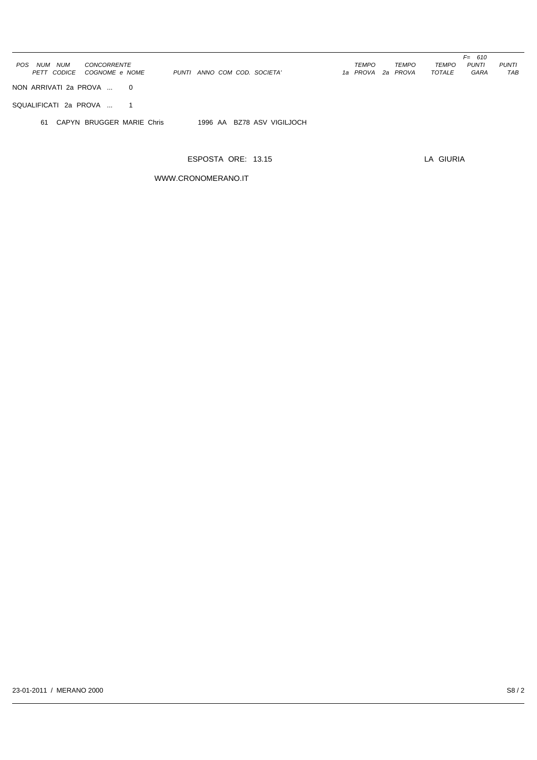|                                                   |                              |                   | $F = 610$                                    |
|---------------------------------------------------|------------------------------|-------------------|----------------------------------------------|
| CONCORRENTE<br>POS<br><b>NUM</b><br>NUM           |                              | TEMPO<br>TEMPO    | <b>PUNTI</b><br><b>TEMPO</b><br><b>PUNTI</b> |
| PETT CODICE<br>COGNOME e NOME                     | PUNTI ANNO COM COD. SOCIETA' | 1a PROVA 2a PROVA | TOTALE<br>GARA<br>TAB                        |
|                                                   |                              |                   |                                              |
| NON ARRIVATI 2a PROVA<br>$\overline{0}$           |                              |                   |                                              |
|                                                   |                              |                   |                                              |
| SQUALIFICATI 2a PROVA<br>$\overline{\phantom{1}}$ |                              |                   |                                              |
|                                                   |                              |                   |                                              |
| 61 CAPYN BRUGGER MARIE Chris                      | 1996 AA BZ78 ASV VIGILJOCH   |                   |                                              |
|                                                   |                              |                   |                                              |
|                                                   |                              |                   |                                              |

WWW.CRONOMERANO.IT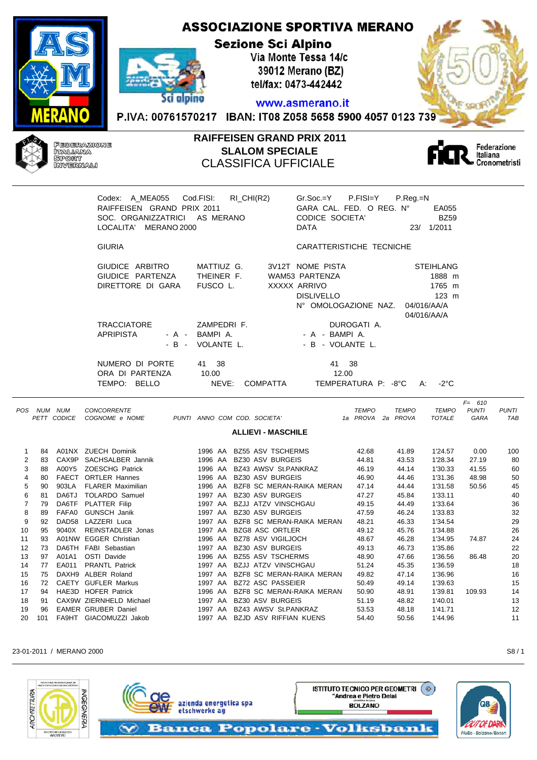# **ASSOCIAZIONE SPORTIVA MERANO Sezione Sci Alpino** Via Monte Tessa 14/c 39012 Merano (BZ)



tel/fax: 0473-442442 www.asmerano.it

P.IVA: 00761570217 IBAN: IT08 Z058 5658 5900 4057 0123 739



r

### **RAIFFEISEN GRAND PRIX 2011 SLALOM SPECIALE** CLASSIFICA UFFICIALE



| Codex: A_MEA055 Cod.FISI:                                   | $RI_CHI(R2)$             | $Gr.Soc = Y$ P.FISI=Y                       | $P_{\cdot}$ Reg $_{\cdot}$ =N |
|-------------------------------------------------------------|--------------------------|---------------------------------------------|-------------------------------|
| RAIFFEISEN GRAND PRIX 2011<br>SOC. ORGANIZZATRICI AS MERANO |                          | GARA CAL. FED. O REG. N°<br>CODICE SOCIETA' | EA055<br><b>BZ59</b>          |
| LOCALITA' MERANO 2000                                       |                          | <b>DATA</b>                                 | 1/2011<br>23/                 |
| <b>GIURIA</b>                                               |                          | CARATTERISTICHE TECNICHE                    |                               |
| GIUDICE ARBITRO                                             | MATTIUZ G.               | 3V12T NOME PISTA                            | <b>STEIHLANG</b>              |
| GIUDICE PARTENZA                                            | THEINER F.               | WAM53 PARTENZA                              | 1888 m                        |
| DIRETTORE DI GARA                                           | FUSCO L.                 | XXXXX ARRIVO                                | 1765 m                        |
|                                                             |                          | <b>DISLIVELLO</b>                           | $123 \text{ m}$               |
|                                                             |                          | N° OMOLOGAZIONE NAZ.                        | 04/016/AA/A                   |
|                                                             |                          |                                             | 04/016/AA/A                   |
| <b>TRACCIATORE</b>                                          | ZAMPEDRIF.               | DUROGATI A.                                 |                               |
| APRIPISTA<br>- A -                                          | BAMPIA.                  | - A - BAMPIA.                               |                               |
|                                                             | - B - VOLANTE L.         | - B - VOLANTE L.                            |                               |
| NUMERO DI PORTE                                             | 41 38                    | -38<br>41                                   |                               |
| ORA DI PARTENZA                                             | 10.00                    | 12.00                                       |                               |
| TEMPO: BELLO                                                | NEVE:<br><b>COMPATTA</b> | TEMPERATURA P: -8°C                         | -2°C<br>A:                    |

| <b>TEMPO</b><br><b>NUM</b><br>NUM<br><b>CODICE</b><br>COGNOME e NOME<br>ANNO COM COD. SOCIETA'<br>1a PROVA<br>PROVA<br><b>TOTALE</b><br>GARA<br><b>PETT</b><br>2a<br>PUNTI<br><b>ALLIEVI - MASCHILE</b><br>A01NX ZUECH Dominik<br>BZ55 ASV TSCHERMS<br>84<br>42.68<br>41.89<br>1'24.57<br>0.00<br>1996 AA<br>SACHSALBER Jannik<br><b>BZ30 ASV BURGEIS</b><br>1'28.34<br>27.19<br>83<br>CAX9P<br>1996 AA<br>44.81<br>43.53<br>2<br><b>ZOESCHG Patrick</b><br>41.55<br>3<br>88<br>A00Y5<br>1996 AA<br>BZ43 AWSV St.PANKRAZ<br>46.19<br>44.14<br>1'30.33<br><b>ORTLER Hannes</b><br><b>FAECT</b><br>BZ30 ASV BURGEIS<br>44.46<br>1'31.36<br>48.98<br>80<br>1996 AA<br>46.90<br>4<br><b>FLARER Maximilian</b><br>BZF8 SC MERAN-RAIKA MERAN<br>47.14<br>1'31.58<br>50.56<br>90<br>903LA<br>1996 AA<br>44.44<br>5<br><b>TOLARDO Samuel</b><br><b>BZ30 ASV BURGEIS</b><br>DA6TJ<br>1997 AA<br>47.27<br>45.84<br>1'33.11<br>6<br>81<br><b>PLATTER Filip</b><br><b>BZJJ ATZV VINSCHGAU</b><br>1'33.64<br>DA6TF<br>1997 AA<br>49.15<br>44.49<br>79<br><b>GUNSCH Janik</b><br><b>BZ30 ASV BURGEIS</b><br>46.24<br>1'33.83<br>FAFA0<br>1997 AA<br>47.59<br>8<br>89<br>LAZZERI Luca<br>DAD <sub>58</sub><br>BZF8 SC MERAN-RAIKA MERAN<br>48.21<br>46.33<br>1'34.54<br>9<br>92<br>1997<br>AA<br><b>BZG8 ASC ORTLER</b><br><b>REINSTADLER Jonas</b><br>1'34.88<br>95<br>9040X<br>1997 AA<br>49.12<br>45.76<br>10<br><b>EGGER Christian</b><br>BZ78 ASV VIGILJOCH<br>A01NW<br>48.67<br>46.28<br>1'34.95<br>74.87<br>11<br>93<br>1996<br>AA<br>DA6TH<br>FABI Sebastian<br><b>BZ30 ASV BURGEIS</b><br>1'35.86<br>12<br>73<br>1997<br>49.13<br>46.73<br>AA<br><b>OSTI Davide</b><br>BZ55 ASV TSCHERMS<br>13<br>1996 AA<br>47.66<br>1'36.56<br>97<br>A01A1<br>48.90<br>86.48<br><b>BZJJ ATZV VINSCHGAU</b><br>1'36.59<br>14<br>77<br>EA011<br><b>PRANTL Patrick</b><br>1997 AA<br>51.24<br>45.35<br>ALBER Roland<br>BZF8 SC MERAN-RAIKA MERAN<br>1'36.96<br>15<br>75<br>DAXH9<br>1997 AA<br>49.82<br>47.14<br><b>GUFLER Markus</b><br>BZ72 ASC PASSEIER<br>1'39.63<br>16<br><b>CAETY</b><br>1997 AA<br>50.49<br>49.14<br>72<br><b>HOFER Patrick</b><br>17<br>HAE3D<br>BZF8 SC MERAN-RAIKA MERAN<br>1'39.81<br>94<br>1996 AA<br>50.90<br>109.93 |            |  |                    |  |  |  |              |              |  | $F = 610$    |              |
|----------------------------------------------------------------------------------------------------------------------------------------------------------------------------------------------------------------------------------------------------------------------------------------------------------------------------------------------------------------------------------------------------------------------------------------------------------------------------------------------------------------------------------------------------------------------------------------------------------------------------------------------------------------------------------------------------------------------------------------------------------------------------------------------------------------------------------------------------------------------------------------------------------------------------------------------------------------------------------------------------------------------------------------------------------------------------------------------------------------------------------------------------------------------------------------------------------------------------------------------------------------------------------------------------------------------------------------------------------------------------------------------------------------------------------------------------------------------------------------------------------------------------------------------------------------------------------------------------------------------------------------------------------------------------------------------------------------------------------------------------------------------------------------------------------------------------------------------------------------------------------------------------------------------------------------------------------------------------------------------------------------------------------------------------------------------------------------------------------------------------------------------------------------------------------------------------------------------------|------------|--|--------------------|--|--|--|--------------|--------------|--|--------------|--------------|
|                                                                                                                                                                                                                                                                                                                                                                                                                                                                                                                                                                                                                                                                                                                                                                                                                                                                                                                                                                                                                                                                                                                                                                                                                                                                                                                                                                                                                                                                                                                                                                                                                                                                                                                                                                                                                                                                                                                                                                                                                                                                                                                                                                                                                            | <b>POS</b> |  | <b>CONCORRENTE</b> |  |  |  | <b>TEMPO</b> | <b>TEMPO</b> |  | <b>PUNTI</b> | <b>PUNTI</b> |
|                                                                                                                                                                                                                                                                                                                                                                                                                                                                                                                                                                                                                                                                                                                                                                                                                                                                                                                                                                                                                                                                                                                                                                                                                                                                                                                                                                                                                                                                                                                                                                                                                                                                                                                                                                                                                                                                                                                                                                                                                                                                                                                                                                                                                            |            |  |                    |  |  |  |              |              |  |              | TAB          |
|                                                                                                                                                                                                                                                                                                                                                                                                                                                                                                                                                                                                                                                                                                                                                                                                                                                                                                                                                                                                                                                                                                                                                                                                                                                                                                                                                                                                                                                                                                                                                                                                                                                                                                                                                                                                                                                                                                                                                                                                                                                                                                                                                                                                                            |            |  |                    |  |  |  |              |              |  |              |              |
|                                                                                                                                                                                                                                                                                                                                                                                                                                                                                                                                                                                                                                                                                                                                                                                                                                                                                                                                                                                                                                                                                                                                                                                                                                                                                                                                                                                                                                                                                                                                                                                                                                                                                                                                                                                                                                                                                                                                                                                                                                                                                                                                                                                                                            |            |  |                    |  |  |  |              |              |  |              | 100          |
|                                                                                                                                                                                                                                                                                                                                                                                                                                                                                                                                                                                                                                                                                                                                                                                                                                                                                                                                                                                                                                                                                                                                                                                                                                                                                                                                                                                                                                                                                                                                                                                                                                                                                                                                                                                                                                                                                                                                                                                                                                                                                                                                                                                                                            |            |  |                    |  |  |  |              |              |  |              | 80           |
|                                                                                                                                                                                                                                                                                                                                                                                                                                                                                                                                                                                                                                                                                                                                                                                                                                                                                                                                                                                                                                                                                                                                                                                                                                                                                                                                                                                                                                                                                                                                                                                                                                                                                                                                                                                                                                                                                                                                                                                                                                                                                                                                                                                                                            |            |  |                    |  |  |  |              |              |  |              | 60           |
|                                                                                                                                                                                                                                                                                                                                                                                                                                                                                                                                                                                                                                                                                                                                                                                                                                                                                                                                                                                                                                                                                                                                                                                                                                                                                                                                                                                                                                                                                                                                                                                                                                                                                                                                                                                                                                                                                                                                                                                                                                                                                                                                                                                                                            |            |  |                    |  |  |  |              |              |  |              | 50           |
|                                                                                                                                                                                                                                                                                                                                                                                                                                                                                                                                                                                                                                                                                                                                                                                                                                                                                                                                                                                                                                                                                                                                                                                                                                                                                                                                                                                                                                                                                                                                                                                                                                                                                                                                                                                                                                                                                                                                                                                                                                                                                                                                                                                                                            |            |  |                    |  |  |  |              |              |  |              | 45           |
|                                                                                                                                                                                                                                                                                                                                                                                                                                                                                                                                                                                                                                                                                                                                                                                                                                                                                                                                                                                                                                                                                                                                                                                                                                                                                                                                                                                                                                                                                                                                                                                                                                                                                                                                                                                                                                                                                                                                                                                                                                                                                                                                                                                                                            |            |  |                    |  |  |  |              |              |  |              | 40           |
|                                                                                                                                                                                                                                                                                                                                                                                                                                                                                                                                                                                                                                                                                                                                                                                                                                                                                                                                                                                                                                                                                                                                                                                                                                                                                                                                                                                                                                                                                                                                                                                                                                                                                                                                                                                                                                                                                                                                                                                                                                                                                                                                                                                                                            |            |  |                    |  |  |  |              |              |  |              | 36           |
|                                                                                                                                                                                                                                                                                                                                                                                                                                                                                                                                                                                                                                                                                                                                                                                                                                                                                                                                                                                                                                                                                                                                                                                                                                                                                                                                                                                                                                                                                                                                                                                                                                                                                                                                                                                                                                                                                                                                                                                                                                                                                                                                                                                                                            |            |  |                    |  |  |  |              |              |  |              | 32           |
|                                                                                                                                                                                                                                                                                                                                                                                                                                                                                                                                                                                                                                                                                                                                                                                                                                                                                                                                                                                                                                                                                                                                                                                                                                                                                                                                                                                                                                                                                                                                                                                                                                                                                                                                                                                                                                                                                                                                                                                                                                                                                                                                                                                                                            |            |  |                    |  |  |  |              |              |  |              | 29           |
|                                                                                                                                                                                                                                                                                                                                                                                                                                                                                                                                                                                                                                                                                                                                                                                                                                                                                                                                                                                                                                                                                                                                                                                                                                                                                                                                                                                                                                                                                                                                                                                                                                                                                                                                                                                                                                                                                                                                                                                                                                                                                                                                                                                                                            |            |  |                    |  |  |  |              |              |  |              | 26           |
|                                                                                                                                                                                                                                                                                                                                                                                                                                                                                                                                                                                                                                                                                                                                                                                                                                                                                                                                                                                                                                                                                                                                                                                                                                                                                                                                                                                                                                                                                                                                                                                                                                                                                                                                                                                                                                                                                                                                                                                                                                                                                                                                                                                                                            |            |  |                    |  |  |  |              |              |  |              | 24           |
|                                                                                                                                                                                                                                                                                                                                                                                                                                                                                                                                                                                                                                                                                                                                                                                                                                                                                                                                                                                                                                                                                                                                                                                                                                                                                                                                                                                                                                                                                                                                                                                                                                                                                                                                                                                                                                                                                                                                                                                                                                                                                                                                                                                                                            |            |  |                    |  |  |  |              |              |  |              | 22           |
|                                                                                                                                                                                                                                                                                                                                                                                                                                                                                                                                                                                                                                                                                                                                                                                                                                                                                                                                                                                                                                                                                                                                                                                                                                                                                                                                                                                                                                                                                                                                                                                                                                                                                                                                                                                                                                                                                                                                                                                                                                                                                                                                                                                                                            |            |  |                    |  |  |  |              |              |  |              | 20           |
|                                                                                                                                                                                                                                                                                                                                                                                                                                                                                                                                                                                                                                                                                                                                                                                                                                                                                                                                                                                                                                                                                                                                                                                                                                                                                                                                                                                                                                                                                                                                                                                                                                                                                                                                                                                                                                                                                                                                                                                                                                                                                                                                                                                                                            |            |  |                    |  |  |  |              |              |  |              | 18           |
|                                                                                                                                                                                                                                                                                                                                                                                                                                                                                                                                                                                                                                                                                                                                                                                                                                                                                                                                                                                                                                                                                                                                                                                                                                                                                                                                                                                                                                                                                                                                                                                                                                                                                                                                                                                                                                                                                                                                                                                                                                                                                                                                                                                                                            |            |  |                    |  |  |  |              |              |  |              | 16           |
|                                                                                                                                                                                                                                                                                                                                                                                                                                                                                                                                                                                                                                                                                                                                                                                                                                                                                                                                                                                                                                                                                                                                                                                                                                                                                                                                                                                                                                                                                                                                                                                                                                                                                                                                                                                                                                                                                                                                                                                                                                                                                                                                                                                                                            |            |  |                    |  |  |  |              |              |  |              | 15           |
|                                                                                                                                                                                                                                                                                                                                                                                                                                                                                                                                                                                                                                                                                                                                                                                                                                                                                                                                                                                                                                                                                                                                                                                                                                                                                                                                                                                                                                                                                                                                                                                                                                                                                                                                                                                                                                                                                                                                                                                                                                                                                                                                                                                                                            |            |  |                    |  |  |  |              | 48.91        |  |              | 14           |
| CAX9W ZIERNHELD Michael<br><b>BZ30 ASV BURGEIS</b><br>18<br>1997<br>51.19<br>48.82<br>1'40.01<br>91<br>AA                                                                                                                                                                                                                                                                                                                                                                                                                                                                                                                                                                                                                                                                                                                                                                                                                                                                                                                                                                                                                                                                                                                                                                                                                                                                                                                                                                                                                                                                                                                                                                                                                                                                                                                                                                                                                                                                                                                                                                                                                                                                                                                  |            |  |                    |  |  |  |              |              |  |              | 13           |
| <b>EAMER GRUBER Daniel</b><br>BZ43 AWSV St.PANKRAZ<br>1'41.71<br>19<br>1997<br>53.53<br>48.18<br>96<br>AA                                                                                                                                                                                                                                                                                                                                                                                                                                                                                                                                                                                                                                                                                                                                                                                                                                                                                                                                                                                                                                                                                                                                                                                                                                                                                                                                                                                                                                                                                                                                                                                                                                                                                                                                                                                                                                                                                                                                                                                                                                                                                                                  |            |  |                    |  |  |  |              |              |  |              | 12           |
| GIACOMUZZI Jakob<br><b>BZJD ASV RIFFIAN KUENS</b><br>1'44.96<br>20<br>101<br>FA9HT<br>1997<br>50.56<br>AA<br>54.40                                                                                                                                                                                                                                                                                                                                                                                                                                                                                                                                                                                                                                                                                                                                                                                                                                                                                                                                                                                                                                                                                                                                                                                                                                                                                                                                                                                                                                                                                                                                                                                                                                                                                                                                                                                                                                                                                                                                                                                                                                                                                                         |            |  |                    |  |  |  |              |              |  |              | 11           |